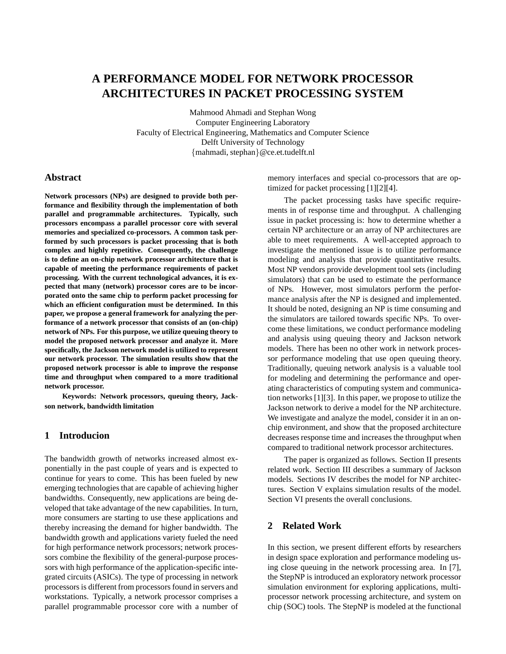# **A PERFORMANCE MODEL FOR NETWORK PROCESSOR ARCHITECTURES IN PACKET PROCESSING SYSTEM**

Mahmood Ahmadi and Stephan Wong Computer Engineering Laboratory Faculty of Electrical Engineering, Mathematics and Computer Science Delft University of Technology {mahmadi, stephan}@ce.et.tudelft.nl

# **Abstract**

**Network processors (NPs) are designed to provide both performance and flexibility through the implementation of both parallel and programmable architectures. Typically, such processors encompass a parallel processor core with several memories and specialized co-processors. A common task performed by such processors is packet processing that is both complex and highly repetitive. Consequently, the challenge is to define an on-chip network processor architecture that is capable of meeting the performance requirements of packet processing. With the current technological advances, it is expected that many (network) processor cores are to be incorporated onto the same chip to perform packet processing for which an efficient configuration must be determined. In this paper, we propose a general framework for analyzing the performance of a network processor that consists of an (on-chip) network of NPs. For this purpose, we utilize queuing theory to model the proposed network processor and analyze it. More specifically, the Jackson network model is utilized to represent our network processor. The simulation results show that the proposed network processor is able to improve the response time and throughput when compared to a more traditional network processor.**

**Keywords: Network processors, queuing theory, Jackson network, bandwidth limitation**

# **1 Introducion**

The bandwidth growth of networks increased almost exponentially in the past couple of years and is expected to continue for years to come. This has been fueled by new emerging technologies that are capable of achieving higher bandwidths. Consequently, new applications are being developed that take advantage of the new capabilities. In turn, more consumers are starting to use these applications and thereby increasing the demand for higher bandwidth. The bandwidth growth and applications variety fueled the need for high performance network processors; network processors combine the flexibility of the general-purpose processors with high performance of the application-specific integrated circuits (ASICs). The type of processing in network processors is different from processors found in servers and workstations. Typically, a network processor comprises a parallel programmable processor core with a number of memory interfaces and special co-processors that are optimized for packet processing [1][2][4].

The packet processing tasks have specific requirements in of response time and throughput. A challenging issue in packet processing is: how to determine whether a certain NP architecture or an array of NP architectures are able to meet requirements. A well-accepted approach to investigate the mentioned issue is to utilize performance modeling and analysis that provide quantitative results. Most NP vendors provide development tool sets (including simulators) that can be used to estimate the performance of NPs. However, most simulators perform the performance analysis after the NP is designed and implemented. It should be noted, designing an NP is time consuming and the simulators are tailored towards specific NPs. To overcome these limitations, we conduct performance modeling and analysis using queuing theory and Jackson network models. There has been no other work in network processor performance modeling that use open queuing theory. Traditionally, queuing network analysis is a valuable tool for modeling and determining the performance and operating characteristics of computing system and communication networks [1][3]. In this paper, we propose to utilize the Jackson network to derive a model for the NP architecture. We investigate and analyze the model, consider it in an onchip environment, and show that the proposed architecture decreases response time and increases the throughput when compared to traditional network processor architectures.

The paper is organized as follows. Section II presents related work. Section III describes a summary of Jackson models. Sections IV describes the model for NP architectures. Section V explains simulation results of the model. Section VI presents the overall conclusions.

# **2 Related Work**

In this section, we present different efforts by researchers in design space exploration and performance modeling using close queuing in the network processing area. In [7], the StepNP is introduced an exploratory network processor simulation environment for exploring applications, multiprocessor network processing architecture, and system on chip (SOC) tools. The StepNP is modeled at the functional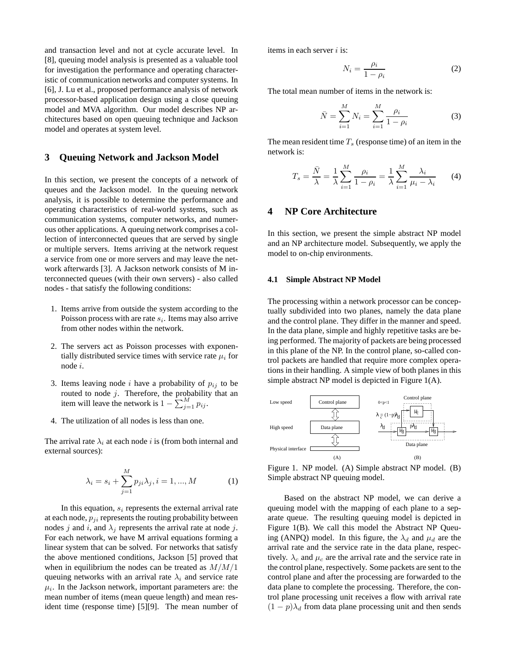and transaction level and not at cycle accurate level. In [8], queuing model analysis is presented as a valuable tool for investigation the performance and operating characteristic of communication networks and computer systems. In [6], J. Lu et al., proposed performance analysis of network processor-based application design using a close queuing model and MVA algorithm. Our model describes NP architectures based on open queuing technique and Jackson model and operates at system level.

## **3 Queuing Network and Jackson Model**

In this section, we present the concepts of a network of queues and the Jackson model. In the queuing network analysis, it is possible to determine the performance and operating characteristics of real-world systems, such as communication systems, computer networks, and numerous other applications. A queuing network comprises a collection of interconnected queues that are served by single or multiple servers. Items arriving at the network request a service from one or more servers and may leave the network afterwards [3]. A Jackson network consists of M interconnected queues (with their own servers) - also called nodes - that satisfy the following conditions:

- 1. Items arrive from outside the system according to the Poisson process with are rate  $s_i$ . Items may also arrive from other nodes within the network.
- 2. The servers act as Poisson processes with exponentially distributed service times with service rate  $\mu_i$  for node i.
- 3. Items leaving node i have a probability of  $p_{ij}$  to be routed to node  $j$ . Therefore, the probability that an item will leave the network is  $1 - \sum_{j=1}^{M} p_{ij}$ .
- 4. The utilization of all nodes is less than one.

The arrival rate  $\lambda_i$  at each node i is (from both internal and external sources):

$$
\lambda_i = s_i + \sum_{j=1}^{M} p_{ji} \lambda_j, i = 1, ..., M
$$
 (1)

In this equation,  $s_i$  represents the external arrival rate at each node,  $p_{ji}$  represents the routing probability between nodes j and i, and  $\lambda_j$  represents the arrival rate at node j. For each network, we have M arrival equations forming a linear system that can be solved. For networks that satisfy the above mentioned conditions, Jackson [5] proved that when in equilibrium the nodes can be treated as  $M/M/1$ queuing networks with an arrival rate  $\lambda_i$  and service rate  $\mu_i$ . In the Jackson network, important parameters are: the mean number of items (mean queue length) and mean resident time (response time) [5][9]. The mean number of items in each server  $i$  is:

$$
N_i = \frac{\rho_i}{1 - \rho_i} \tag{2}
$$

The total mean number of items in the network is:

$$
\bar{N} = \sum_{i=1}^{M} N_i = \sum_{i=1}^{M} \frac{\rho_i}{1 - \rho_i}
$$
 (3)

The mean resident time  $T_s$  (response time) of an item in the network is:

$$
T_s = \frac{\bar{N}}{\lambda} = \frac{1}{\lambda} \sum_{i=1}^{M} \frac{\rho_i}{1 - \rho_i} = \frac{1}{\lambda} \sum_{i=1}^{M} \frac{\lambda_i}{\mu_i - \lambda_i}
$$
(4)

## **4 NP Core Architecture**

In this section, we present the simple abstract NP model and an NP architecture model. Subsequently, we apply the model to on-chip environments.

#### **4.1 Simple Abstract NP Model**

The processing within a network processor can be conceptually subdivided into two planes, namely the data plane and the control plane. They differ in the manner and speed. In the data plane, simple and highly repetitive tasks are being performed. The majority of packets are being processed in this plane of the NP. In the control plane, so-called control packets are handled that require more complex operations in their handling. A simple view of both planes in this simple abstract NP model is depicted in Figure 1(A).



Figure 1. NP model. (A) Simple abstract NP model. (B) Simple abstract NP queuing model.

Based on the abstract NP model, we can derive a queuing model with the mapping of each plane to a separate queue. The resulting queuing model is depicted in Figure 1(B). We call this model the Abstract NP Queuing (ANPQ) model. In this figure, the  $\lambda_d$  and  $\mu_d$  are the arrival rate and the service rate in the data plane, respectively.  $\lambda_c$  and  $\mu_c$  are the arrival rate and the service rate in the control plane, respectively. Some packets are sent to the control plane and after the processing are forwarded to the data plane to complete the processing. Therefore, the control plane processing unit receives a flow with arrival rate  $(1 - p)\lambda_d$  from data plane processing unit and then sends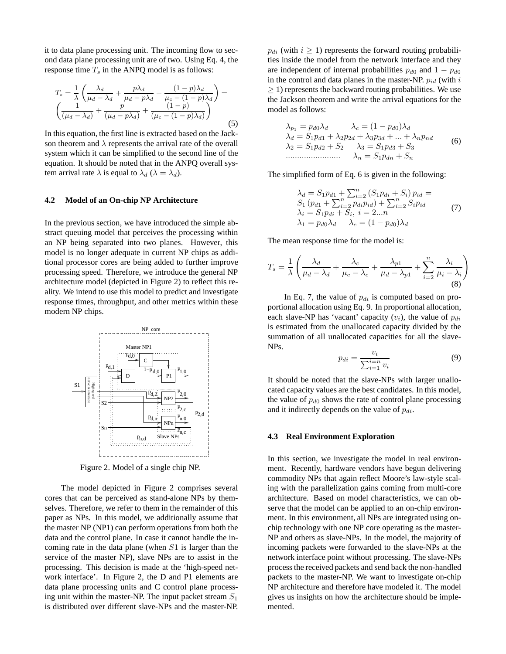it to data plane processing unit. The incoming flow to second data plane processing unit are of two. Using Eq. 4, the response time  $T_s$  in the ANPQ model is as follows:

$$
T_s = \frac{1}{\lambda} \left( \frac{\lambda_d}{\mu_d - \lambda_d} + \frac{p\lambda_d}{\mu_d - p\lambda_d} + \frac{(1-p)\lambda_d}{\mu_c - (1-p)\lambda_d} \right) = \left( \frac{1}{(\mu_d - \lambda_d)} + \frac{p}{(\mu_d - p\lambda_d)} + \frac{(1-p)}{(\mu_c - (1-p)\lambda_d)} \right)
$$
(5)

In this equation, the first line is extracted based on the Jackson theorem and  $\lambda$  represents the arrival rate of the overall system which it can be simplified to the second line of the equation. It should be noted that in the ANPQ overall system arrival rate  $\lambda$  is equal to  $\lambda_d$  ( $\lambda = \lambda_d$ ).

#### **4.2 Model of an On-chip NP Architecture**

In the previous section, we have introduced the simple abstract queuing model that perceives the processing within an NP being separated into two planes. However, this model is no longer adequate in current NP chips as additional processor cores are being added to further improve processing speed. Therefore, we introduce the general NP architecture model (depicted in Figure 2) to reflect this reality. We intend to use this model to predict and investigate response times, throughput, and other metrics within these modern NP chips.



Figure 2. Model of a single chip NP.

The model depicted in Figure 2 comprises several cores that can be perceived as stand-alone NPs by themselves. Therefore, we refer to them in the remainder of this paper as NPs. In this model, we additionally assume that the master NP (NP1) can perform operations from both the data and the control plane. In case it cannot handle the incoming rate in the data plane (when  $S1$  is larger than the service of the master NP), slave NPs are to assist in the processing. This decision is made at the 'high-speed network interface'. In Figure 2, the D and P1 elements are data plane processing units and C control plane processing unit within the master-NP. The input packet stream  $S_1$ is distributed over different slave-NPs and the master-NP.  $p_{di}$  (with  $i \ge 1$ ) represents the forward routing probabilities inside the model from the network interface and they are independent of internal probabilities  $p_{d0}$  and  $1 - p_{d0}$ in the control and data planes in the master-NP.  $p_{id}$  (with i ≥ 1) represents the backward routing probabilities. We use the Jackson theorem and write the arrival equations for the model as follows:

$$
\lambda_{p_1} = p_{d0}\lambda_d \qquad \lambda_c = (1 - p_{d0})\lambda_d
$$
  
\n
$$
\lambda_d = S_1p_{d1} + \lambda_2p_{2d} + \lambda_3p_{3d} + \dots + \lambda_np_{nd}
$$
  
\n
$$
\lambda_2 = S_1p_{d2} + S_2 \qquad \lambda_3 = S_1p_{d3} + S_3
$$
  
\n
$$
\dots
$$
  
\n
$$
\lambda_n = S_1p_{dn} + S_n
$$
  
\n(6)

The simplified form of Eq. 6 is given in the following:

$$
\lambda_d = S_1 p_{d1} + \sum_{i=2}^n (S_1 p_{di} + S_i) p_{id} =
$$
  
\n
$$
S_1 (p_{d1} + \sum_{i=2}^n p_{di} p_{id}) + \sum_{i=2}^n S_i p_{id}
$$
  
\n
$$
\lambda_i = S_1 p_{di} + S_i, \ i = 2...n
$$
  
\n
$$
\lambda_1 = p_{d0} \lambda_d \qquad \lambda_c = (1 - p_{d0}) \lambda_d
$$
\n(7)

The mean response time for the model is:

$$
T_s = \frac{1}{\lambda} \left( \frac{\lambda_d}{\mu_d - \lambda_d} + \frac{\lambda_c}{\mu_c - \lambda_c} + \frac{\lambda_{p1}}{\mu_d - \lambda_{p1}} + \sum_{i=2}^n \frac{\lambda_i}{\mu_i - \lambda_i} \right)
$$
(8)

In Eq. 7, the value of  $p_{di}$  is computed based on proportional allocation using Eq. 9. In proportional allocation, each slave-NP has 'vacant' capacity  $(v_i)$ , the value of  $p_{di}$ is estimated from the unallocated capacity divided by the summation of all unallocated capacities for all the slave-NPs.

$$
p_{di} = \frac{v_i}{\sum_{i=1}^{i=n} v_i} \tag{9}
$$

It should be noted that the slave-NPs with larger unallocated capacity values are the best candidates. In this model, the value of  $p_{d0}$  shows the rate of control plane processing and it indirectly depends on the value of  $p_{di}$ .

#### **4.3 Real Environment Exploration**

In this section, we investigate the model in real environment. Recently, hardware vendors have begun delivering commodity NPs that again reflect Moore's law-style scaling with the parallelization gains coming from multi-core architecture. Based on model characteristics, we can observe that the model can be applied to an on-chip environment. In this environment, all NPs are integrated using onchip technology with one NP core operating as the master-NP and others as slave-NPs. In the model, the majority of incoming packets were forwarded to the slave-NPs at the network interface point without processing. The slave-NPs process the received packets and send back the non-handled packets to the master-NP. We want to investigate on-chip NP architecture and therefore have modeled it. The model gives us insights on how the architecture should be implemented.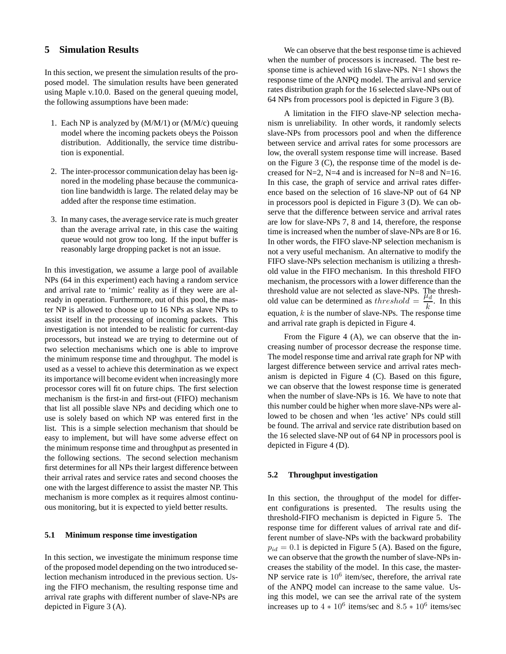## **5 Simulation Results**

In this section, we present the simulation results of the proposed model. The simulation results have been generated using Maple v.10.0. Based on the general queuing model, the following assumptions have been made:

- 1. Each NP is analyzed by (M/M/1) or (M/M/c) queuing model where the incoming packets obeys the Poisson distribution. Additionally, the service time distribution is exponential.
- 2. The inter-processor communication delay has been ignored in the modeling phase because the communication line bandwidth is large. The related delay may be added after the response time estimation.
- 3. In many cases, the average service rate is much greater than the average arrival rate, in this case the waiting queue would not grow too long. If the input buffer is reasonably large dropping packet is not an issue.

In this investigation, we assume a large pool of available NPs (64 in this experiment) each having a random service and arrival rate to 'mimic' reality as if they were are already in operation. Furthermore, out of this pool, the master NP is allowed to choose up to 16 NPs as slave NPs to assist itself in the processing of incoming packets. This investigation is not intended to be realistic for current-day processors, but instead we are trying to determine out of two selection mechanisms which one is able to improve the minimum response time and throughput. The model is used as a vessel to achieve this determination as we expect its importance will become evident when increasingly more processor cores will fit on future chips. The first selection mechanism is the first-in and first-out (FIFO) mechanism that list all possible slave NPs and deciding which one to use is solely based on which NP was entered first in the list. This is a simple selection mechanism that should be easy to implement, but will have some adverse effect on the minimum response time and throughput as presented in the following sections. The second selection mechanism first determines for all NPs their largest difference between their arrival rates and service rates and second chooses the one with the largest difference to assist the master NP. This mechanism is more complex as it requires almost continuous monitoring, but it is expected to yield better results.

## **5.1 Minimum response time investigation**

In this section, we investigate the minimum response time of the proposed model depending on the two introduced selection mechanism introduced in the previous section. Using the FIFO mechanism, the resulting response time and arrival rate graphs with different number of slave-NPs are depicted in Figure 3 (A).

We can observe that the best response time is achieved when the number of processors is increased. The best response time is achieved with 16 slave-NPs. N=1 shows the response time of the ANPQ model. The arrival and service rates distribution graph for the 16 selected slave-NPs out of 64 NPs from processors pool is depicted in Figure 3 (B).

A limitation in the FIFO slave-NP selection mechanism is unreliability. In other words, it randomly selects slave-NPs from processors pool and when the difference between service and arrival rates for some processors are low, the overall system response time will increase. Based on the Figure 3 (C), the response time of the model is decreased for  $N=2$ ,  $N=4$  and is increased for  $N=8$  and  $N=16$ . In this case, the graph of service and arrival rates difference based on the selection of 16 slave-NP out of 64 NP in processors pool is depicted in Figure 3 (D). We can observe that the difference between service and arrival rates are low for slave-NPs 7, 8 and 14, therefore, the response time is increased when the number of slave-NPs are 8 or 16. In other words, the FIFO slave-NP selection mechanism is not a very useful mechanism. An alternative to modify the FIFO slave-NPs selection mechanism is utilizing a threshold value in the FIFO mechanism. In this threshold FIFO mechanism, the processors with a lower difference than the threshold value are not selected as slave-NPs. The threshold value can be determined as threshold  $=$   $\frac{\mu_d}{l}$  $\frac{a}{k}$ . In this equation,  $k$  is the number of slave-NPs. The response time and arrival rate graph is depicted in Figure 4.

From the Figure 4 (A), we can observe that the increasing number of processor decrease the response time. The model response time and arrival rate graph for NP with largest difference between service and arrival rates mechanism is depicted in Figure 4 (C). Based on this figure, we can observe that the lowest response time is generated when the number of slave-NPs is 16. We have to note that this number could be higher when more slave-NPs were allowed to be chosen and when 'les active' NPs could still be found. The arrival and service rate distribution based on the 16 selected slave-NP out of 64 NP in processors pool is depicted in Figure 4 (D).

## **5.2 Throughput investigation**

In this section, the throughput of the model for different configurations is presented. The results using the threshold-FIFO mechanism is depicted in Figure 5. The response time for different values of arrival rate and different number of slave-NPs with the backward probability  $p_{id} = 0.1$  is depicted in Figure 5 (A). Based on the figure, we can observe that the growth the number of slave-NPs increases the stability of the model. In this case, the master-NP service rate is  $10^6$  item/sec, therefore, the arrival rate of the ANPQ model can increase to the same value. Using this model, we can see the arrival rate of the system increases up to  $4 * 10^6$  items/sec and  $8.5 * 10^6$  items/sec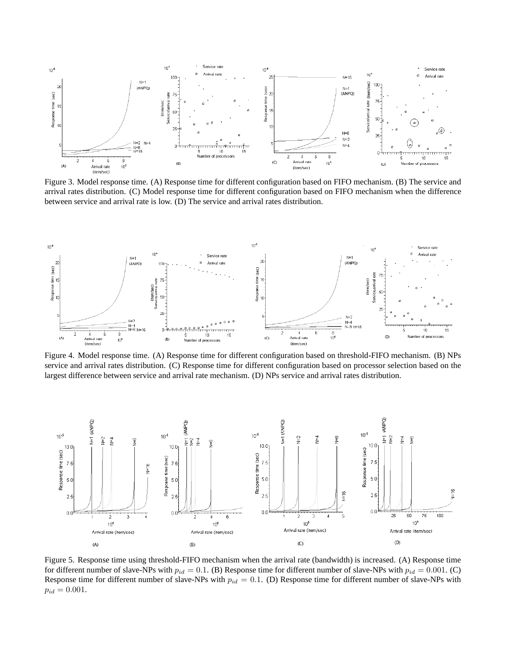

Figure 3. Model response time. (A) Response time for different configuration based on FIFO mechanism. (B) The service and arrival rates distribution. (C) Model response time for different configuration based on FIFO mechanism when the difference between service and arrival rate is low. (D) The service and arrival rates distribution.



Figure 4. Model response time. (A) Response time for different configuration based on threshold-FIFO mechanism. (B) NPs service and arrival rates distribution. (C) Response time for different configuration based on processor selection based on the largest difference between service and arrival rate mechanism. (D) NPs service and arrival rates distribution.



Figure 5. Response time using threshold-FIFO mechanism when the arrival rate (bandwidth) is increased. (A) Response time for different number of slave-NPs with  $p_{id} = 0.1$ . (B) Response time for different number of slave-NPs with  $p_{id} = 0.001$ . (C) Response time for different number of slave-NPs with  $p_{id} = 0.1$ . (D) Response time for different number of slave-NPs with  $p_{id} = 0.001$ .